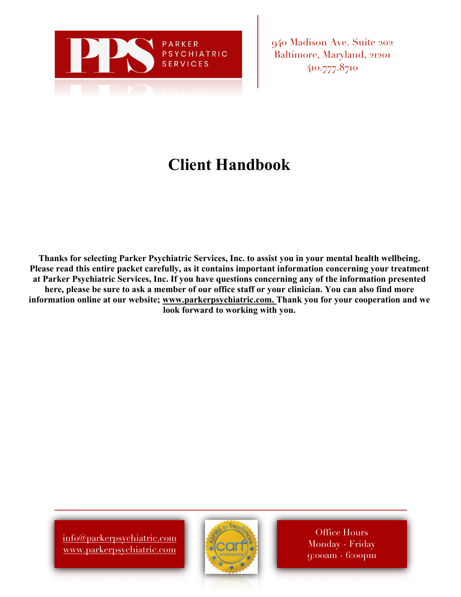

940 Madison Ave. Suite 202 Baltimore, Maryland, 21201 410.777.8710

# **Client Handbook**

**Thanks for selecting Parker Psychiatric Services, Inc. to assist you in your mental health wellbeing. Please read this entire packet carefully, as it contains important information concerning your treatment at Parker Psychiatric Services, Inc. If you have questions concerning any of the information presented** here, please be sure to ask a member of our office staff or your clinician. You can also find more **information online at our website; www.parkerpsychiatric.com. Thank you for your cooperation and we look forward to working with you.**

info@parkerpsychiatric.com www.parkerpsychiatric.com



Office Hours Monday - Friday 9:00am - 6:00pm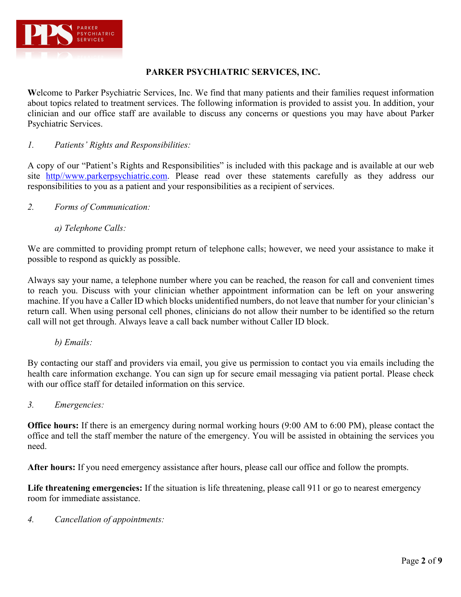

# **PARKER PSYCHIATRIC SERVICES, INC.**

**W**elcome to Parker Psychiatric Services, Inc. We find that many patients and their families request information about topics related to treatment services. The following information is provided to assist you. In addition, your clinician and our office staff are available to discuss any concerns or questions you may have about Parker Psychiatric Services.

# *1. Patients' Rights and Responsibilities:*

A copy of our "Patient's Rights and Responsibilities" is included with this package and is available at our web site http//www.parkerpsychiatric.com. Please read over these statements carefully as they address our responsibilities to you as a patient and your responsibilities as a recipient of services.

- *2. Forms of Communication:*
	- *a) Telephone Calls:*

We are committed to providing prompt return of telephone calls; however, we need your assistance to make it possible to respond as quickly as possible.

Always say your name, a telephone number where you can be reached, the reason for call and convenient times to reach you. Discuss with your clinician whether appointment information can be left on your answering machine. If you have a Caller ID which blocks unidentified numbers, do not leave that number for your clinician's return call. When using personal cell phones, clinicians do not allow their number to be identified so the return call will not get through. Always leave a call back number without Caller ID block.

*b) Emails:*

By contacting our staff and providers via email, you give us permission to contact you via emails including the health care information exchange. You can sign up for secure email messaging via patient portal. Please check with our office staff for detailed information on this service.

*3. Emergencies:*

**Office hours:** If there is an emergency during normal working hours (9:00 AM to 6:00 PM), please contact the office and tell the staff member the nature of the emergency. You will be assisted in obtaining the services you need.

**After hours:** If you need emergency assistance after hours, please call our office and follow the prompts.

**Life threatening emergencies:** If the situation is life threatening, please call 911 or go to nearest emergency room for immediate assistance.

*4. Cancellation of appointments:*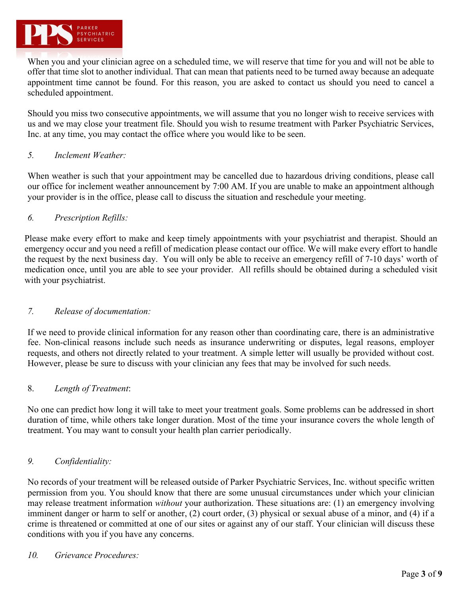

When you and your clinician agree on a scheduled time, we will reserve that time for you and will not be able to offer that time slot to another individual. That can mean that patients need to be turned away because an adequate appointment time cannot be found. For this reason, you are asked to contact us should you need to cancel a scheduled appointment.

Should you miss two consecutive appointments, we will assume that you no longer wish to receive services with us and we may close your treatment file. Should you wish to resume treatment with Parker Psychiatric Services, Inc. at any time, you may contact the office where you would like to be seen.

## *5. Inclement Weather:*

When weather is such that your appointment may be cancelled due to hazardous driving conditions, please call our office for inclement weather announcement by 7:00 AM. If you are unable to make an appointment although your provider is in the office, please call to discuss the situation and reschedule your meeting.

## *6. Prescription Refills:*

Please make every effort to make and keep timely appointments with your psychiatrist and therapist. Should an emergency occur and you need a refill of medication please contact our office. We will make every effort to handle the request by the next business day. You will only be able to receive an emergency refill of 7-10 days' worth of medication once, until you are able to see your provider. All refills should be obtained during a scheduled visit with your psychiatrist.

# *7. Release of documentation:*

If we need to provide clinical information for any reason other than coordinating care, there is an administrative fee. Non-clinical reasons include such needs as insurance underwriting or disputes, legal reasons, employer requests, and others not directly related to your treatment. A simple letter will usually be provided without cost. However, please be sure to discuss with your clinician any fees that may be involved for such needs.

### 8. *Length of Treatment*:

No one can predict how long it will take to meet your treatment goals. Some problems can be addressed in short duration of time, while others take longer duration. Most of the time your insurance covers the whole length of treatment. You may want to consult your health plan carrier periodically.

### *9. Confidentiality:*

No records of your treatment will be released outside of Parker Psychiatric Services, Inc. without specific written permission from you. You should know that there are some unusual circumstances under which your clinician may release treatment information *without* your authorization. These situations are: (1) an emergency involving imminent danger or harm to self or another, (2) court order, (3) physical or sexual abuse of a minor, and (4) if a crime is threatened or committed at one of our sites or against any of our staff. Your clinician will discuss these conditions with you if you have any concerns.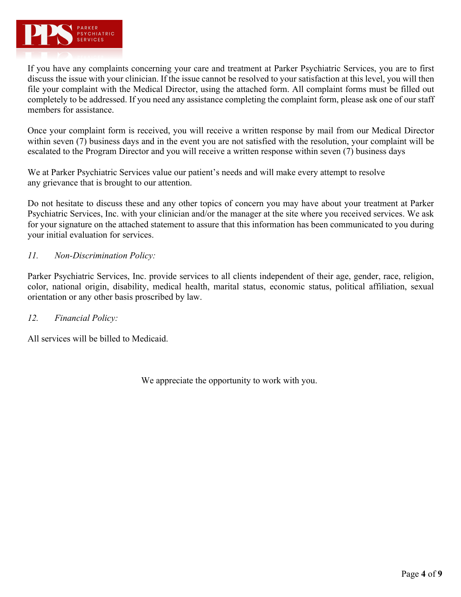

If you have any complaints concerning your care and treatment at Parker Psychiatric Services, you are to first discuss the issue with your clinician. If the issue cannot be resolved to your satisfaction at this level, you will then file your complaint with the Medical Director, using the attached form. All complaint forms must be filled out completely to be addressed. If you need any assistance completing the complaint form, please ask one of our staff members for assistance.

Once your complaint form is received, you will receive a written response by mail from our Medical Director within seven (7) business days and in the event you are not satisfied with the resolution, your complaint will be escalated to the Program Director and you will receive a written response within seven (7) business days

We at Parker Psychiatric Services value our patient's needs and will make every attempt to resolve any grievance that is brought to our attention.

Do not hesitate to discuss these and any other topics of concern you may have about your treatment at Parker Psychiatric Services, Inc. with your clinician and/or the manager at the site where you received services. We ask for your signature on the attached statement to assure that this information has been communicated to you during your initial evaluation for services.

# *11. Non-Discrimination Policy:*

Parker Psychiatric Services, Inc. provide services to all clients independent of their age, gender, race, religion, color, national origin, disability, medical health, marital status, economic status, political affiliation, sexual orientation or any other basis proscribed by law.

### *12. Financial Policy:*

All services will be billed to Medicaid.

We appreciate the opportunity to work with you.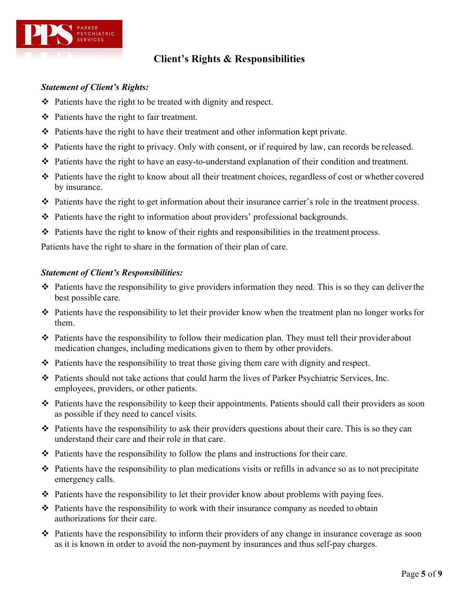

# **Client's Rights & Responsibilities**

# *Statement of Client's Rights:*

- $\triangle$  Patients have the right to be treated with dignity and respect.
- $\triangleleft$  Patients have the right to fair treatment.
- $\triangleleft$  Patients have the right to have their treatment and other information kept private.
- $\bullet$  Patients have the right to privacy. Only with consent, or if required by law, can records be released.
- Patients have the right to have an easy-to-understand explanation of their condition and treatment.
- v Patients have the right to know about all their treatment choices, regardless of cost or whether covered by insurance.
- Patients have the right to get information about their insurance carrier's role in the treatment process.
- Patients have the right to information about providers' professional backgrounds.
- Patients have the right to know of their rights and responsibilities in the treatment process.

Patients have the right to share in the formation of their plan of care.

# *Statement of Client's Responsibilities:*

- $\cdot \cdot$  Patients have the responsibility to give providers information they need. This is so they can deliver the best possible care.
- $\triangle$  Patients have the responsibility to let their provider know when the treatment plan no longer works for them.
- v Patients have the responsibility to follow their medication plan. They must tell their provider about medication changes, including medications given to them by other providers.
- Patients have the responsibility to treat those giving them care with dignity and respect.
- $\cdot \cdot$  Patients should not take actions that could harm the lives of Parker Psychiatric Services, Inc. employees, providers, or other patients.
- Patients have the responsibility to keep their appointments. Patients should call their providers as soon as possible if they need to cancel visits.
- $\cdot \cdot$  Patients have the responsibility to ask their providers questions about their care. This is so they can understand their care and their role in that care.
- $\div$  Patients have the responsibility to follow the plans and instructions for their care.
- $\hat{\cdot}$  Patients have the responsibility to plan medications visits or refills in advance so as to not precipitate emergency calls.
- Patients have the responsibility to let their provider know about problems with paying fees.
- $\triangleleft$  Patients have the responsibility to work with their insurance company as needed to obtain authorizations for their care.
- $\cdot$  Patients have the responsibility to inform their providers of any change in insurance coverage as soon as it is known in order to avoid the non-payment by insurances and thus self-pay charges.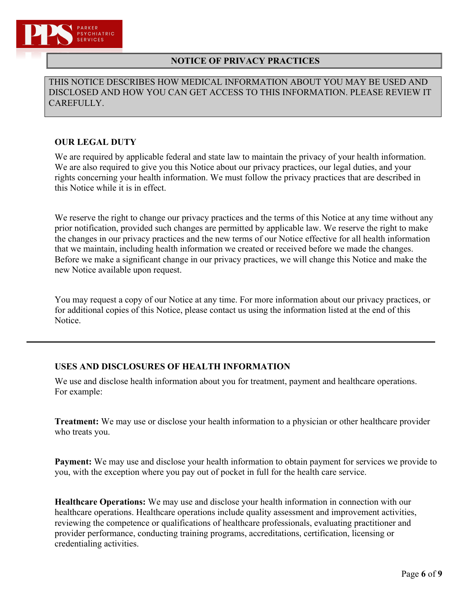

# **NOTICE OF PRIVACY PRACTICES**

THIS NOTICE DESCRIBES HOW MEDICAL INFORMATION ABOUT YOU MAY BE USED AND DISCLOSED AND HOW YOU CAN GET ACCESS TO THIS INFORMATION. PLEASE REVIEW IT CAREFULLY.

# **OUR LEGAL DUTY**

We are required by applicable federal and state law to maintain the privacy of your health information. We are also required to give you this Notice about our privacy practices, our legal duties, and your rights concerning your health information. We must follow the privacy practices that are described in this Notice while it is in effect.

We reserve the right to change our privacy practices and the terms of this Notice at any time without any prior notification, provided such changes are permitted by applicable law. We reserve the right to make the changes in our privacy practices and the new terms of our Notice effective for all health information that we maintain, including health information we created or received before we made the changes. Before we make a significant change in our privacy practices, we will change this Notice and make the new Notice available upon request.

You may request a copy of our Notice at any time. For more information about our privacy practices, or for additional copies of this Notice, please contact us using the information listed at the end of this Notice.

# **USES AND DISCLOSURES OF HEALTH INFORMATION**

We use and disclose health information about you for treatment, payment and healthcare operations. For example:

**Treatment:** We may use or disclose your health information to a physician or other healthcare provider who treats you.

**Payment:** We may use and disclose your health information to obtain payment for services we provide to you, with the exception where you pay out of pocket in full for the health care service.

**Healthcare Operations:** We may use and disclose your health information in connection with our healthcare operations. Healthcare operations include quality assessment and improvement activities, reviewing the competence or qualifications of healthcare professionals, evaluating practitioner and provider performance, conducting training programs, accreditations, certification, licensing or credentialing activities.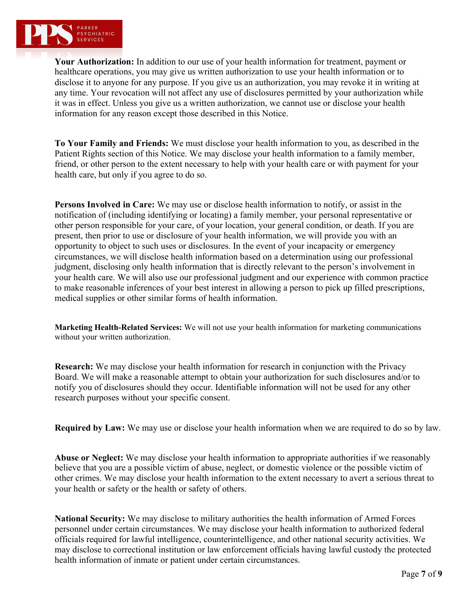

**Your Authorization:** In addition to our use of your health information for treatment, payment or healthcare operations, you may give us written authorization to use your health information or to disclose it to anyone for any purpose. If you give us an authorization, you may revoke it in writing at any time. Your revocation will not affect any use of disclosures permitted by your authorization while it was in effect. Unless you give us a written authorization, we cannot use or disclose your health information for any reason except those described in this Notice.

**To Your Family and Friends:** We must disclose your health information to you, as described in the Patient Rights section of this Notice. We may disclose your health information to a family member, friend, or other person to the extent necessary to help with your health care or with payment for your health care, but only if you agree to do so.

**Persons Involved in Care:** We may use or disclose health information to notify, or assist in the notification of (including identifying or locating) a family member, your personal representative or other person responsible for your care, of your location, your general condition, or death. If you are present, then prior to use or disclosure of your health information, we will provide you with an opportunity to object to such uses or disclosures. In the event of your incapacity or emergency circumstances, we will disclose health information based on a determination using our professional judgment, disclosing only health information that is directly relevant to the person's involvement in your health care. We will also use our professional judgment and our experience with common practice to make reasonable inferences of your best interest in allowing a person to pick up filled prescriptions, medical supplies or other similar forms of health information.

**Marketing Health-Related Services:** We will not use your health information for marketing communications without your written authorization.

**Research:** We may disclose your health information for research in conjunction with the Privacy Board. We will make a reasonable attempt to obtain your authorization for such disclosures and/or to notify you of disclosures should they occur. Identifiable information will not be used for any other research purposes without your specific consent.

**Required by Law:** We may use or disclose your health information when we are required to do so by law.

**Abuse or Neglect:** We may disclose your health information to appropriate authorities if we reasonably believe that you are a possible victim of abuse, neglect, or domestic violence or the possible victim of other crimes. We may disclose your health information to the extent necessary to avert a serious threat to your health or safety or the health or safety of others.

**National Security:** We may disclose to military authorities the health information of Armed Forces personnel under certain circumstances. We may disclose your health information to authorized federal officials required for lawful intelligence, counterintelligence, and other national security activities. We may disclose to correctional institution or law enforcement officials having lawful custody the protected health information of inmate or patient under certain circumstances.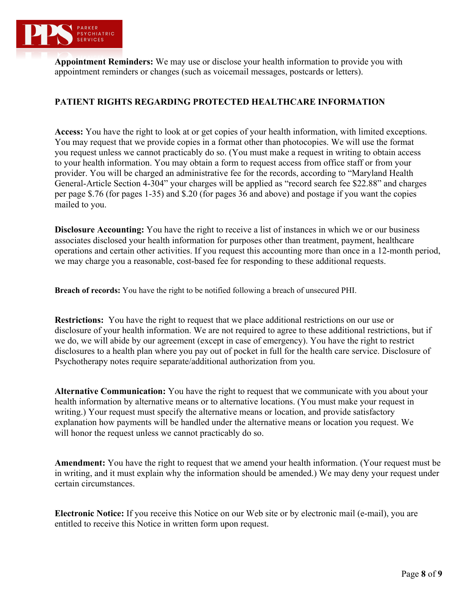

**Appointment Reminders:** We may use or disclose your health information to provide you with appointment reminders or changes (such as voicemail messages, postcards or letters).

# **PATIENT RIGHTS REGARDING PROTECTED HEALTHCARE INFORMATION**

**Access:** You have the right to look at or get copies of your health information, with limited exceptions. You may request that we provide copies in a format other than photocopies. We will use the format you request unless we cannot practicably do so. (You must make a request in writing to obtain access to your health information. You may obtain a form to request access from office staff or from your provider. You will be charged an administrative fee for the records, according to "Maryland Health General-Article Section 4-304" your charges will be applied as "record search fee \$22.88" and charges per page \$.76 (for pages 1-35) and \$.20 (for pages 36 and above) and postage if you want the copies mailed to you.

**Disclosure Accounting:** You have the right to receive a list of instances in which we or our business associates disclosed your health information for purposes other than treatment, payment, healthcare operations and certain other activities. If you request this accounting more than once in a 12-month period, we may charge you a reasonable, cost-based fee for responding to these additional requests.

**Breach of records:** You have the right to be notified following a breach of unsecured PHI.

**Restrictions:** You have the right to request that we place additional restrictions on our use or disclosure of your health information. We are not required to agree to these additional restrictions, but if we do, we will abide by our agreement (except in case of emergency). You have the right to restrict disclosures to a health plan where you pay out of pocket in full for the health care service. Disclosure of Psychotherapy notes require separate/additional authorization from you.

**Alternative Communication:** You have the right to request that we communicate with you about your health information by alternative means or to alternative locations. (You must make your request in writing.) Your request must specify the alternative means or location, and provide satisfactory explanation how payments will be handled under the alternative means or location you request. We will honor the request unless we cannot practicably do so.

**Amendment:** You have the right to request that we amend your health information. (Your request must be in writing, and it must explain why the information should be amended.) We may deny your request under certain circumstances.

**Electronic Notice:** If you receive this Notice on our Web site or by electronic mail (e-mail), you are entitled to receive this Notice in written form upon request.